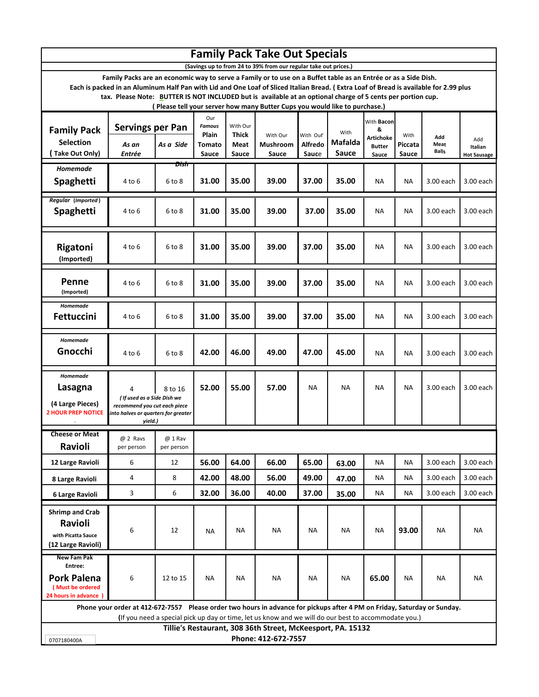| <b>Family Pack Take Out Specials</b>                                                                                                                                                                                                                                                                                                                                                                                                                                                                                     |                                                                                                                                                                                                                                  |                       |                                                         |                                    |                               |                                     |                          |                                                               |                          |                             |                                      |  |  |  |  |  |  |  |  |  |  |
|--------------------------------------------------------------------------------------------------------------------------------------------------------------------------------------------------------------------------------------------------------------------------------------------------------------------------------------------------------------------------------------------------------------------------------------------------------------------------------------------------------------------------|----------------------------------------------------------------------------------------------------------------------------------------------------------------------------------------------------------------------------------|-----------------------|---------------------------------------------------------|------------------------------------|-------------------------------|-------------------------------------|--------------------------|---------------------------------------------------------------|--------------------------|-----------------------------|--------------------------------------|--|--|--|--|--|--|--|--|--|--|
| (Savings up to from 24 to 39% from our regular take out prices.)<br>Family Packs are an economic way to serve a Family or to use on a Buffet table as an Entrée or as a Side Dish.<br>Each is packed in an Aluminum Half Pan with Lid and One Loaf of Sliced Italian Bread. (Extra Loaf of Bread is available for 2.99 plus<br>tax. Please Note: BUTTER IS NOT INCLUDED but is available at an optional charge of 5 cents per portion cup.<br>(Please tell your server how many Butter Cups you would like to purchase.) |                                                                                                                                                                                                                                  |                       |                                                         |                                    |                               |                                     |                          |                                                               |                          |                             |                                      |  |  |  |  |  |  |  |  |  |  |
| <b>Family Pack</b><br><b>Selection</b><br>Take Out Only)                                                                                                                                                                                                                                                                                                                                                                                                                                                                 | <b>Servings per Pan</b><br>As an<br>Entrée                                                                                                                                                                                       | As a Side             | Our<br><b>Famous</b><br><b>Plain</b><br>Tomato<br>Sauce | With Our<br>Thick<br>Meat<br>Sauce | With Our<br>Mushroom<br>Sauce | With Our<br><b>Alfredo</b><br>Sauce | With<br>Mafalda<br>Sauce | With Bacon<br>&<br><b>Artichoke</b><br><b>Butter</b><br>Sauce | With<br>Piccata<br>Sauce | Add<br>Meat<br><b>Balls</b> | Add<br>Italian<br><b>Hot Sausage</b> |  |  |  |  |  |  |  |  |  |  |
| Homemade<br>Spaghetti                                                                                                                                                                                                                                                                                                                                                                                                                                                                                                    | 4 to 6                                                                                                                                                                                                                           | Dish<br>$6$ to $8$    | 31.00                                                   | 35.00                              | 39.00                         | 37.00                               | 35.00                    | ΝA                                                            | ΝA                       | 3.00 each                   | 3.00 each                            |  |  |  |  |  |  |  |  |  |  |
| <b>Regular (Imported)</b><br>Spaghetti                                                                                                                                                                                                                                                                                                                                                                                                                                                                                   | 4 to 6                                                                                                                                                                                                                           | $6$ to $8$            | 31.00                                                   | 35.00                              | 39.00                         | 37.00                               | 35.00                    | NA                                                            | <b>NA</b>                | 3.00 each                   | 3.00 each                            |  |  |  |  |  |  |  |  |  |  |
| Rigatoni<br>(Imported)                                                                                                                                                                                                                                                                                                                                                                                                                                                                                                   | 4 to 6                                                                                                                                                                                                                           | $6$ to $8$            | 31.00                                                   | 35.00                              | 39.00                         | 37.00                               | 35.00                    | <b>NA</b>                                                     | <b>NA</b>                | 3.00 each                   | 3.00 each                            |  |  |  |  |  |  |  |  |  |  |
| <b>Penne</b><br>(Imported)                                                                                                                                                                                                                                                                                                                                                                                                                                                                                               | 4 to 6                                                                                                                                                                                                                           | 6 to 8                | 31.00                                                   | 35.00                              | 39.00                         | 37.00                               | 35.00                    | ΝA                                                            | <b>NA</b>                | 3.00 each                   | 3.00 each                            |  |  |  |  |  |  |  |  |  |  |
| Homemade<br>Fettuccini                                                                                                                                                                                                                                                                                                                                                                                                                                                                                                   | 4 to 6                                                                                                                                                                                                                           | $6$ to $8$            | 31.00                                                   | 35.00                              | 39.00                         | 37.00                               | 35.00                    | NA                                                            | ΝA                       | 3.00 each                   | 3.00 each                            |  |  |  |  |  |  |  |  |  |  |
| Homemade<br>Gnocchi                                                                                                                                                                                                                                                                                                                                                                                                                                                                                                      | 4 to 6                                                                                                                                                                                                                           | 6 to 8                | 42.00                                                   | 46.00                              | 49.00                         | 47.00                               | 45.00                    | ΝA                                                            | ΝA                       | 3.00 each                   | 3.00 each                            |  |  |  |  |  |  |  |  |  |  |
| Homemade<br>Lasagna<br>(4 Large Pieces)<br><b>2 HOUR PREP NOTICE</b>                                                                                                                                                                                                                                                                                                                                                                                                                                                     | 4<br>( If used as a Side Dish we<br>recommend you cut each piece<br>into halves or quarters for greater<br>yield.)                                                                                                               | 8 to 16               | 52.00                                                   | 55.00                              | 57.00                         | <b>NA</b>                           | ΝA                       | ΝA                                                            | ΝA                       | 3.00 each                   | 3.00 each                            |  |  |  |  |  |  |  |  |  |  |
| <b>Cheese or Meat</b><br>Ravioli                                                                                                                                                                                                                                                                                                                                                                                                                                                                                         | @ 2 Ravs<br>per person                                                                                                                                                                                                           | @ 1 Rav<br>per person |                                                         |                                    |                               |                                     |                          |                                                               |                          |                             |                                      |  |  |  |  |  |  |  |  |  |  |
| 12 Large Ravioli                                                                                                                                                                                                                                                                                                                                                                                                                                                                                                         | 6                                                                                                                                                                                                                                | 12                    | 56.00                                                   | 64.00                              | 66.00                         | 65.00                               | 63.00                    | ΝA                                                            | ΝA                       | 3.00 each                   | 3.00 each                            |  |  |  |  |  |  |  |  |  |  |
| 8 Large Ravioli                                                                                                                                                                                                                                                                                                                                                                                                                                                                                                          | 4                                                                                                                                                                                                                                | 8                     | 42.00                                                   | 48.00                              | 56.00                         | 49.00                               | 47.00                    | ΝA                                                            | ΝA                       | 3.00 each                   | 3.00 each                            |  |  |  |  |  |  |  |  |  |  |
| 6 Large Ravioli                                                                                                                                                                                                                                                                                                                                                                                                                                                                                                          | 3                                                                                                                                                                                                                                | 6                     | 32.00                                                   | 36.00                              | 40.00                         | 37.00                               | 35.00                    | ΝA                                                            | ΝA                       | 3.00 each                   | 3.00 each                            |  |  |  |  |  |  |  |  |  |  |
| <b>Shrimp and Crab</b><br>Ravioli<br>with Picatta Sauce<br>(12 Large Ravioli)                                                                                                                                                                                                                                                                                                                                                                                                                                            | 6                                                                                                                                                                                                                                | 12                    | ΝA                                                      | <b>NA</b>                          | NA                            | <b>NA</b>                           | ΝA                       | <b>NA</b>                                                     | 93.00                    | ΝA                          | NA                                   |  |  |  |  |  |  |  |  |  |  |
| New Fam Pak<br>Entree:<br><b>Pork Palena</b><br>(Must be ordered<br>24 hours in advance                                                                                                                                                                                                                                                                                                                                                                                                                                  | 6                                                                                                                                                                                                                                | 12 to 15              | NA                                                      | NA                                 | NA                            | NA                                  | ΝA                       | 65.00                                                         | ΝA                       | ΝA                          | NA                                   |  |  |  |  |  |  |  |  |  |  |
|                                                                                                                                                                                                                                                                                                                                                                                                                                                                                                                          | Phone your order at 412-672-7557 Please order two hours in advance for pickups after 4 PM on Friday, Saturday or Sunday.<br>(If you need a special pick up day or time, let us know and we will do our best to accommodate you.) |                       |                                                         |                                    |                               |                                     |                          |                                                               |                          |                             |                                      |  |  |  |  |  |  |  |  |  |  |
| Tillie's Restaurant, 308 36th Street, McKeesport, PA. 15132                                                                                                                                                                                                                                                                                                                                                                                                                                                              |                                                                                                                                                                                                                                  |                       |                                                         |                                    |                               |                                     |                          |                                                               |                          |                             |                                      |  |  |  |  |  |  |  |  |  |  |
| 0707180400A                                                                                                                                                                                                                                                                                                                                                                                                                                                                                                              |                                                                                                                                                                                                                                  |                       |                                                         |                                    |                               |                                     |                          |                                                               |                          | Phone: 412-672-7557         |                                      |  |  |  |  |  |  |  |  |  |  |